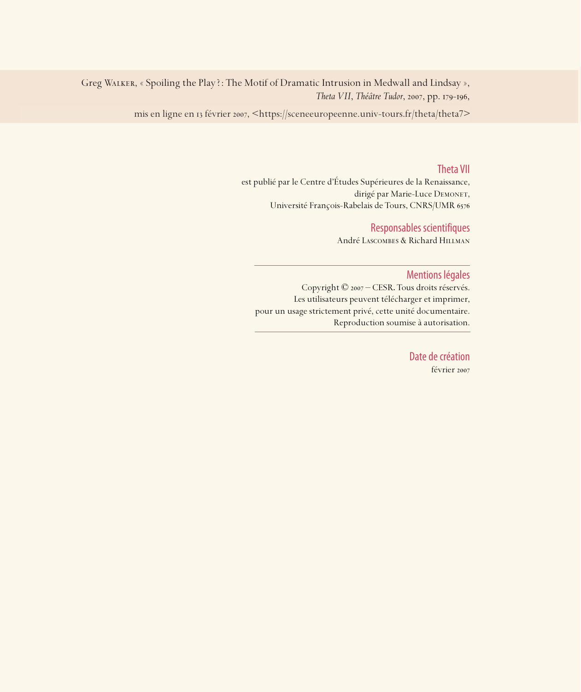Greg WALKER, « Spoiling the Play ?: The Motif of Dramatic Intrusion in Medwall and Lindsay », *Theta VII*, *Théâtre Tudor*, 2007, pp. 179-196,

mis en ligne en 13 février 2007, <https://sceneeuropeenne.univ-tours.fr/theta/theta7>

### Theta VII

est publié par le Centre d'Études Supérieures de la Renaissance, dirigé par Marie-Luce DEMONET, Université François-Rabelais de Tours, CNRS/UMR

## Responsables scientifiques

André Lascombes & Richard Hillman

### Mentions légales

Copyright © 2007 – CESR. Tous droits réservés. Les utilisateurs peuvent télécharger et imprimer, pour un usage strictement privé, cette unité documentaire. Reproduction soumise à autorisation.

> Date de création février 2007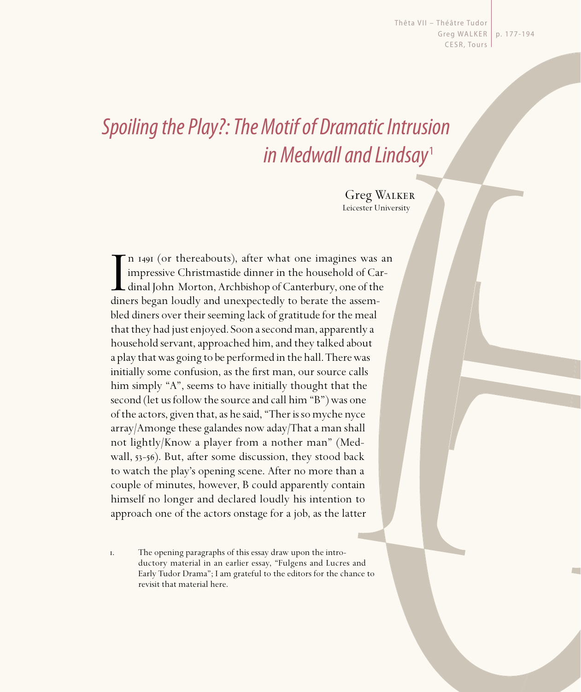Thêta VII - Théâtre Tudor Greg WALKER | p. 177-194 CESR, Tours

# Spoiling the Play?: The Motif of Dramatic Intrusion in Medwall and Lindsay<sup>1</sup>

Greg Walker Leicester University

In 1491 (or thereabouts), after what one imagines was impressive Christmastide dinner in the household of Ca dinal John Morton, Archbishop of Canterbury, one of the diners began loudly and unexpectedly to berate the assem-In 1491 (or thereabouts), after what one imagines was an impressive Christmastide dinner in the household of Cardinal John Morton, Archbishop of Canterbury, one of the bled diners over their seeming lack of gratitude for the meal that they had just enjoyed. Soon a second man, apparently a household servant, approached him, and they talked about a play that was going to be performed in the hall. There was initially some confusion, as the first man, our source calls him simply "A", seems to have initially thought that the second (let us follow the source and call him "B") was one of the actors, given that, as he said, "Ther is so myche nyce array/Amonge these galandes now aday/That a man shall not lightly/Know a player from a nother man" (Medwall,  $53-56$ ). But, after some discussion, they stood back to watch the play's opening scene. After no more than a couple of minutes, however, B could apparently contain himself no longer and declared loudly his intention to approach one of the actors onstage for a job, as the latter

. The opening paragraphs of this essay draw upon the introductory material in an earlier essay, "Fulgens and Lucres and Early Tudor Drama"; I am grateful to the editors for the chance to revisit that material here.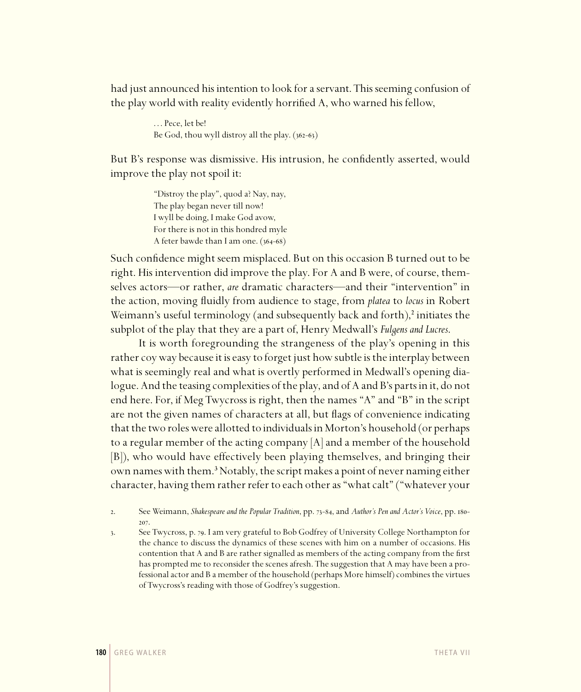had just announced his intention to look for a servant. This seeming confusion of the play world with reality evidently horrified A, who warned his fellow,

> . . . Pece, let be! Be God, thou wyll distroy all the play.  $(362-63)$

But B's response was dismissive. His intrusion, he confidently asserted, would improve the play not spoil it:

> "Distroy the play", quod a? Nay, nay, The play began never till now! I wyll be doing, I make God avow, For there is not in this hondred myle A feter bawde than I am one.  $(364-68)$

Such confidence might seem misplaced. But on this occasion B turned out to be right. His intervention did improve the play. For A and B were, of course, themselves actors—or rather, *are* dramatic characters—and their "intervention" in the action, moving fluidly from audience to stage, from *platea* to *locus* in Robert Weimann's useful terminology (and subsequently back and forth),<sup>2</sup> initiates the subplot of the play that they are a part of, Henry Medwall's *Fulgens and Lucres*.

It is worth foregrounding the strangeness of the play's opening in this rather coy way because it is easy to forget just how subtle is the interplay between what is seemingly real and what is overtly performed in Medwall's opening dialogue. And the teasing complexities of the play, and of A and B's parts in it, do not end here. For, if Meg Twycross is right, then the names "A" and "B" in the script are not the given names of characters at all, but flags of convenience indicating that the two roles were allotted to individuals in Morton's household (or perhaps to a regular member of the acting company  $[A]$  and a member of the household [B]), who would have effectively been playing themselves, and bringing their own names with them.<sup>3</sup> Notably, the script makes a point of never naming either character, having them rather refer to each other as "what calt" ("whatever your

2. See Weimann, *Shakespeare and the Popular Tradition*, pp. 73-84, and *Author's Pen and Actor's Voice*, pp. 180-207.

3. See Twycross, p. 79. I am very grateful to Bob Godfrey of University College Northampton for the chance to discuss the dynamics of these scenes with him on a number of occasions. His contention that A and B are rather signalled as members of the acting company from the first has prompted me to reconsider the scenes afresh. The suggestion that A may have been a professional actor and B a member of the household (perhaps More himself) combines the virtues of Twycross's reading with those of Godfrey's suggestion.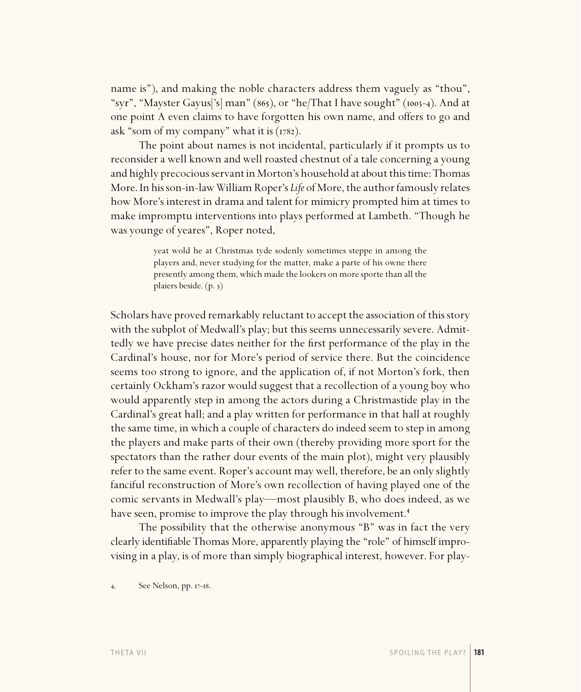name is"), and making the noble characters address them vaguely as "thou", "syr", "Mayster Gayus['s] man" (865), or "he/That I have sought" (1003-4). And at one point A even claims to have forgotten his own name, and offers to go and ask "som of my company" what it is  $(1782)$ .

The point about names is not incidental, particularly if it prompts us to reconsider a well known and well roasted chestnut of a tale concerning a young and highly precocious servant in Morton's household at about this time: Thomas More. In his son-in-law William Roper's *Life* of More, the author famously relates how More's interest in drama and talent for mimicry prompted him at times to make impromptu interventions into plays performed at Lambeth. "Though he was younge of yeares", Roper noted,

> yeat wold he at Christmas tyde sodenly sometimes steppe in among the players and, never studying for the matter, make a parte of his owne there presently among them, which made the lookers on more sporte than all the plaiers beside. (p. 5)

Scholars have proved remarkably reluctant to accept the association of this story with the subplot of Medwall's play; but this seems unnecessarily severe. Admittedly we have precise dates neither for the first performance of the play in the Cardinal's house, nor for More's period of service there. But the coincidence seems too strong to ignore, and the application of, if not Morton's fork, then certainly Ockham's razor would suggest that a recollection of a young boy who would apparently step in among the actors during a Christmastide play in the Cardinal's great hall; and a play written for performance in that hall at roughly the same time, in which a couple of characters do indeed seem to step in among the players and make parts of their own (thereby providing more sport for the spectators than the rather dour events of the main plot), might very plausibly refer to the same event. Roper's account may well, therefore, be an only slightly fanciful reconstruction of More's own recollection of having played one of the comic servants in Medwall's play—most plausibly B, who does indeed, as we have seen, promise to improve the play through his involvement.<sup>4</sup>

The possibility that the otherwise anonymous "B" was in fact the very clearly identifi able Thomas More, apparently playing the "role" of himself improvising in a play, is of more than simply biographical interest, however. For play-

4. See Nelson, pp. 17-18.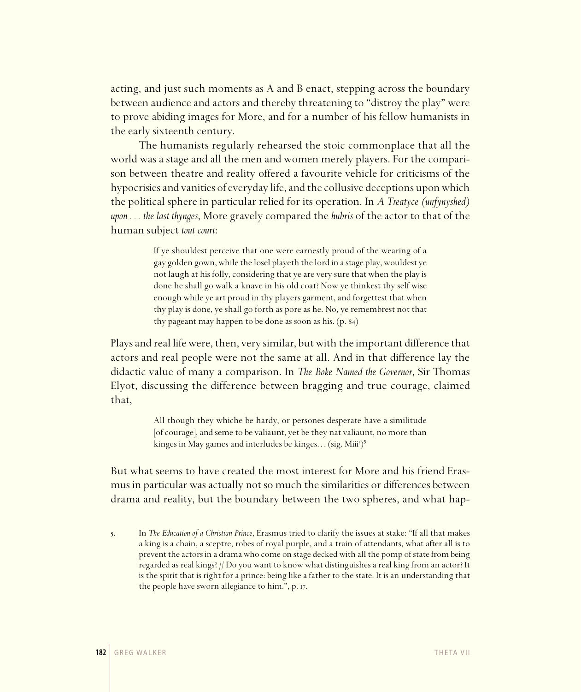acting, and just such moments as A and B enact, stepping across the boundary between audience and actors and thereby threatening to "distroy the play" were to prove abiding images for More, and for a number of his fellow humanists in the early sixteenth century.

The humanists regularly rehearsed the stoic commonplace that all the world was a stage and all the men and women merely players. For the comparison between theatre and reality offered a favourite vehicle for criticisms of the hypocrisies and vanities of everyday life, and the collusive deceptions upon which the political sphere in particular relied for its operation. In *A Treatyce (unfynyshed) upon . . . the last thynges*, More gravely compared the *hubris* of the actor to that of the human subject *tout court*:

> If ye shouldest perceive that one were earnestly proud of the wearing of a gay golden gown, while the losel playeth the lord in a stage play, wouldest ye not laugh at his folly, considering that ye are very sure that when the play is done he shall go walk a knave in his old coat? Now ye thinkest thy self wise enough while ye art proud in thy players garment, and forgettest that when thy play is done, ye shall go forth as pore as he. No, ye remembrest not that thy pageant may happen to be done as soon as his.  $(p. 84)$

Plays and real life were, then, very similar, but with the important difference that actors and real people were not the same at all. And in that difference lay the didactic value of many a comparison. In *The Boke Named the Governor*, Sir Thomas Elyot, discussing the difference between bragging and true courage, claimed that,

> All though they whiche be hardy, or persones desperate have a similitude [of courage], and seme to be valiaunt, yet be they nat valiaunt, no more than kinges in May games and interludes be kinges... (sig. Miii')<sup>5</sup>

But what seems to have created the most interest for More and his friend Erasmus in particular was actually not so much the similarities or differences between drama and reality, but the boundary between the two spheres, and what hap-

<sup>.</sup> In *The Education of a Christian Prince*, Erasmus tried to clarify the issues at stake: "If all that makes a king is a chain, a sceptre, robes of royal purple, and a train of attendants, what after all is to prevent the actors in a drama who come on stage decked with all the pomp of state from being regarded as real kings? // Do you want to know what distinguishes a real king from an actor? It is the spirit that is right for a prince: being like a father to the state. It is an understanding that the people have sworn allegiance to him.", p. 17.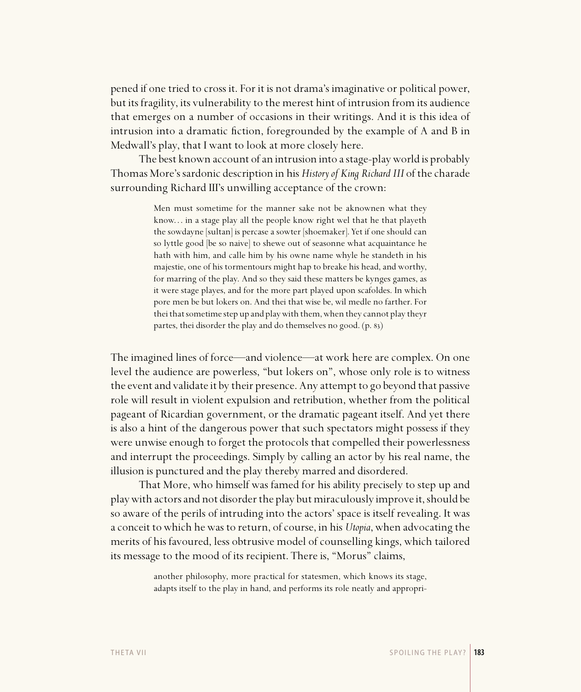pened if one tried to cross it. For it is not drama's imaginative or political power, but its fragility, its vulnerability to the merest hint of intrusion from its audience that emerges on a number of occasions in their writings. And it is this idea of intrusion into a dramatic fiction, foregrounded by the example of A and B in Medwall's play, that I want to look at more closely here.

The best known account of an intrusion into a stage-play world is probably Thomas More's sardonic description in his *History of King Richard III* of the charade surrounding Richard III's unwilling acceptance of the crown:

> Men must sometime for the manner sake not be aknownen what they know... in a stage play all the people know right wel that he that playeth the sowdayne [sultan] is percase a sowter [shoemaker]. Yet if one should can so lyttle good [be so naive] to shewe out of seasonne what acquaintance he hath with him, and calle him by his owne name whyle he standeth in his majestie, one of his tormentours might hap to breake his head, and worthy, for marring of the play. And so they said these matters be kynges games, as it were stage playes, and for the more part played upon scafoldes. In which pore men be but lokers on. And thei that wise be, wil medle no farther. For thei that sometime step up and play with them, when they cannot play theyr partes, thei disorder the play and do themselves no good.  $(p. 83)$

The imagined lines of force—and violence—at work here are complex. On one level the audience are powerless, "but lokers on", whose only role is to witness the event and validate it by their presence. Any attempt to go beyond that passive role will result in violent expulsion and retribution, whether from the political pageant of Ricardian government, or the dramatic pageant itself. And yet there is also a hint of the dangerous power that such spectators might possess if they were unwise enough to forget the protocols that compelled their powerlessness and interrupt the proceedings. Simply by calling an actor by his real name, the illusion is punctured and the play thereby marred and disordered.

That More, who himself was famed for his ability precisely to step up and play with actors and not disorder the play but miraculously improve it, should be so aware of the perils of intruding into the actors' space is itself revealing. It was a conceit to which he was to return, of course, in his *Utopia*, when advocating the merits of his favoured, less obtrusive model of counselling kings, which tailored its message to the mood of its recipient. There is, "Morus" claims,

> another philosophy, more practical for statesmen, which knows its stage, adapts itself to the play in hand, and performs its role neatly and appropri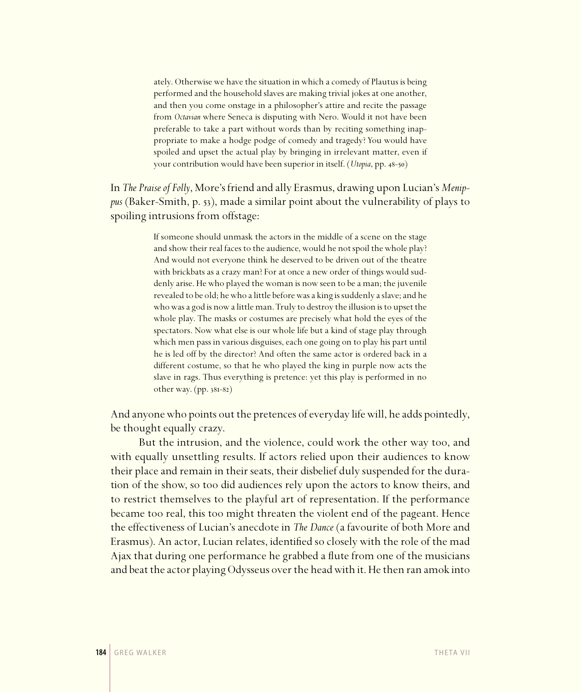ately. Otherwise we have the situation in which a comedy of Plautus is being performed and the household slaves are making trivial jokes at one another, and then you come onstage in a philosopher's attire and recite the passage from *Octavian* where Seneca is disputing with Nero. Would it not have been preferable to take a part without words than by reciting something inappropriate to make a hodge podge of comedy and tragedy? You would have spoiled and upset the actual play by bringing in irrelevant matter, even if your contribution would have been superior in itself. (*Utopia*, pp. 48-50)

In *The Praise of Folly*, More's friend and ally Erasmus, drawing upon Lucian's *Menippus* (Baker-Smith, p. 53), made a similar point about the vulnerability of plays to spoiling intrusions from offstage:

> If someone should unmask the actors in the middle of a scene on the stage and show their real faces to the audience, would he not spoil the whole play? And would not everyone think he deserved to be driven out of the theatre with brickbats as a crazy man? For at once a new order of things would suddenly arise. He who played the woman is now seen to be a man; the juvenile revealed to be old; he who a little before was a king is suddenly a slave; and he who was a god is now a little man. Truly to destroy the illusion is to upset the whole play. The masks or costumes are precisely what hold the eyes of the spectators. Now what else is our whole life but a kind of stage play through which men pass in various disguises, each one going on to play his part until he is led off by the director? And often the same actor is ordered back in a different costume, so that he who played the king in purple now acts the slave in rags. Thus everything is pretence: yet this play is performed in no other way.  $(pp. 38I-82)$

And anyone who points out the pretences of everyday life will, he adds pointedly, be thought equally crazy.

But the intrusion, and the violence, could work the other way too, and with equally unsettling results. If actors relied upon their audiences to know their place and remain in their seats, their disbelief duly suspended for the duration of the show, so too did audiences rely upon the actors to know theirs, and to restrict themselves to the playful art of representation. If the performance became too real, this too might threaten the violent end of the pageant. Hence the effectiveness of Lucian's anecdote in *The Dance* (a favourite of both More and Erasmus). An actor, Lucian relates, identified so closely with the role of the mad Ajax that during one performance he grabbed a flute from one of the musicians and beat the actor playing Odysseus over the head with it. He then ran amok into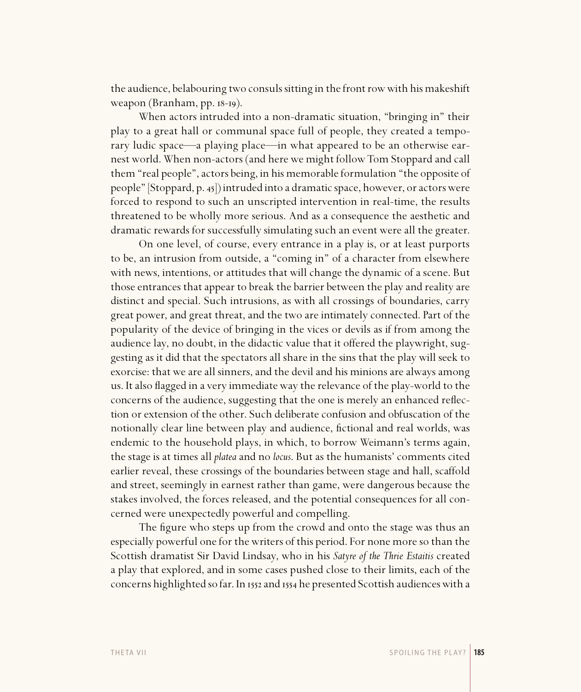the audience, belabouring two consuls sitting in the front row with his makeshift weapon (Branham,  $pp.$   $18$ - $19$ ).

When actors intruded into a non-dramatic situation, "bringing in" their play to a great hall or communal space full of people, they created a temporary ludic space—a playing place—in what appeared to be an otherwise earnest world. When non-actors (and here we might follow Tom Stoppard and call them "real people", actors being, in his memorable formulation "the opposite of people" [Stoppard, p. 45]) intruded into a dramatic space, however, or actors were forced to respond to such an unscripted intervention in real-time, the results threatened to be wholly more serious. And as a consequence the aesthetic and dramatic rewards for successfully simulating such an event were all the greater.

On one level, of course, every entrance in a play is, or at least purports to be, an intrusion from outside, a "coming in" of a character from elsewhere with news, intentions, or attitudes that will change the dynamic of a scene. But those entrances that appear to break the barrier between the play and reality are distinct and special. Such intrusions, as with all crossings of boundaries, carry great power, and great threat, and the two are intimately connected. Part of the popularity of the device of bringing in the vices or devils as if from among the audience lay, no doubt, in the didactic value that it offered the playwright, suggesting as it did that the spectators all share in the sins that the play will seek to exorcise: that we are all sinners, and the devil and his minions are always among us. It also flagged in a very immediate way the relevance of the play-world to the concerns of the audience, suggesting that the one is merely an enhanced reflection or extension of the other. Such deliberate confusion and obfuscation of the notionally clear line between play and audience, fictional and real worlds, was endemic to the household plays, in which, to borrow Weimann's terms again, the stage is at times all *platea* and no *locus*. But as the humanists' comments cited earlier reveal, these crossings of the boundaries between stage and hall, scaffold and street, seemingly in earnest rather than game, were dangerous because the stakes involved, the forces released, and the potential consequences for all concerned were unexpectedly powerful and compelling.

The figure who steps up from the crowd and onto the stage was thus an especially powerful one for the writers of this period. For none more so than the Scottish dramatist Sir David Lindsay, who in his *Satyre of the Thrie Estaitis* created a play that explored, and in some cases pushed close to their limits, each of the concerns highlighted so far. In 1552 and 1554 he presented Scottish audiences with a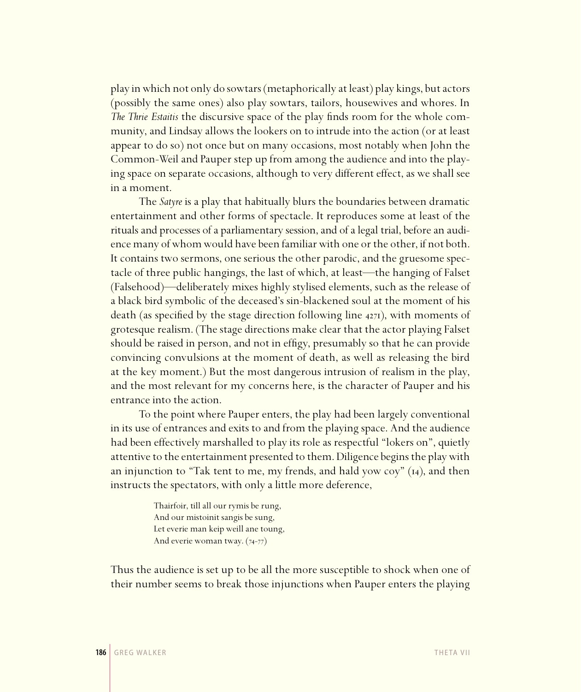play in which not only do sowtars (metaphorically at least) play kings, but actors (possibly the same ones) also play sowtars, tailors, housewives and whores. In *The Thrie Estaitis* the discursive space of the play finds room for the whole community, and Lindsay allows the lookers on to intrude into the action (or at least appear to do so) not once but on many occasions, most notably when John the Common-Weil and Pauper step up from among the audience and into the playing space on separate occasions, although to very different effect, as we shall see in a moment.

The *Satyre* is a play that habitually blurs the boundaries between dramatic entertainment and other forms of spectacle. It reproduces some at least of the rituals and processes of a parliamentary session, and of a legal trial, before an audience many of whom would have been familiar with one or the other, if not both. It contains two sermons, one serious the other parodic, and the gruesome spectacle of three public hangings, the last of which, at least—the hanging of Falset (Falsehood)—deliberately mixes highly stylised elements, such as the release of a black bird symbolic of the deceased's sin-blackened soul at the moment of his death (as specified by the stage direction following line  $4271$ ), with moments of grotesque realism. (The stage directions make clear that the actor playing Falset should be raised in person, and not in effigy, presumably so that he can provide convincing convulsions at the moment of death, as well as releasing the bird at the key moment.) But the most dangerous intrusion of realism in the play, and the most relevant for my concerns here, is the character of Pauper and his entrance into the action.

To the point where Pauper enters, the play had been largely conventional in its use of entrances and exits to and from the playing space. And the audience had been effectively marshalled to play its role as respectful "lokers on", quietly attentive to the entertainment presented to them. Diligence begins the play with an injunction to "Tak tent to me, my frends, and hald yow coy"  $(14)$ , and then instructs the spectators, with only a little more deference,

> Thairfoir, till all our rymis be rung, And our mistoinit sangis be sung, Let everie man keip weill ane toung, And everie woman tway.  $(74-77)$

Thus the audience is set up to be all the more susceptible to shock when one of their number seems to break those injunctions when Pauper enters the playing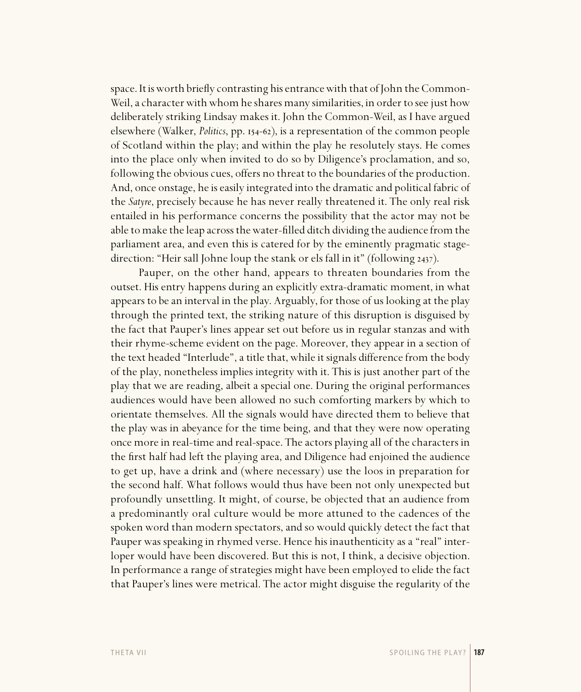space. It is worth briefly contrasting his entrance with that of John the Common-Weil, a character with whom he shares many similarities, in order to see just how deliberately striking Lindsay makes it. John the Common-Weil, as I have argued elsewhere (Walker, *Politics*, pp. 154–62), is a representation of the common people of Scotland within the play; and within the play he resolutely stays. He comes into the place only when invited to do so by Diligence's proclamation, and so, following the obvious cues, offers no threat to the boundaries of the production. And, once onstage, he is easily integrated into the dramatic and political fabric of the *Satyre*, precisely because he has never really threatened it. The only real risk entailed in his performance concerns the possibility that the actor may not be able to make the leap across the water-filled ditch dividing the audience from the parliament area, and even this is catered for by the eminently pragmatic stagedirection: "Heir sall Johne loup the stank or els fall in it" (following 2437).

Pauper, on the other hand, appears to threaten boundaries from the outset. His entry happens during an explicitly extra-dramatic moment, in what appears to be an interval in the play. Arguably, for those of us looking at the play through the printed text, the striking nature of this disruption is disguised by the fact that Pauper's lines appear set out before us in regular stanzas and with their rhyme-scheme evident on the page. Moreover, they appear in a section of the text headed "Interlude", a title that, while it signals difference from the body of the play, nonetheless implies integrity with it. This is just another part of the play that we are reading, albeit a special one. During the original performances audiences would have been allowed no such comforting markers by which to orientate themselves. All the signals would have directed them to believe that the play was in abeyance for the time being, and that they were now operating once more in real-time and real-space. The actors playing all of the characters in the first half had left the playing area, and Diligence had enjoined the audience to get up, have a drink and (where necessary) use the loos in preparation for the second half. What follows would thus have been not only unexpected but profoundly unsettling. It might, of course, be objected that an audience from a predominantly oral culture would be more attuned to the cadences of the spoken word than modern spectators, and so would quickly detect the fact that Pauper was speaking in rhymed verse. Hence his inauthenticity as a "real" interloper would have been discovered. But this is not, I think, a decisive objection. In performance a range of strategies might have been employed to elide the fact that Pauper's lines were metrical. The actor might disguise the regularity of the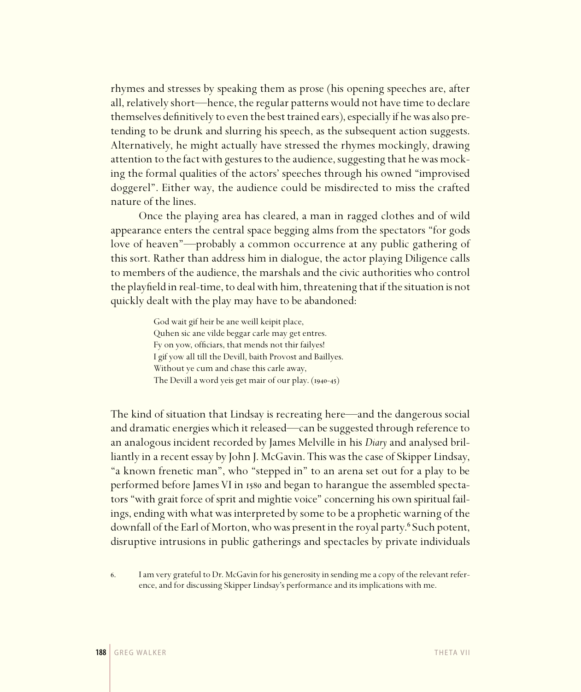rhymes and stresses by speaking them as prose (his opening speeches are, after all, relatively short—hence, the regular patterns would not have time to declare themselves definitively to even the best trained ears), especially if he was also pretending to be drunk and slurring his speech, as the subsequent action suggests. Alternatively, he might actually have stressed the rhymes mockingly, drawing attention to the fact with gestures to the audience, suggesting that he was mocking the formal qualities of the actors' speeches through his owned "improvised doggerel". Either way, the audience could be misdirected to miss the crafted nature of the lines.

Once the playing area has cleared, a man in ragged clothes and of wild appearance enters the central space begging alms from the spectators "for gods love of heaven"—probably a common occurrence at any public gathering of this sort. Rather than address him in dialogue, the actor playing Diligence calls to members of the audience, the marshals and the civic authorities who control the playfield in real-time, to deal with him, threatening that if the situation is not quickly dealt with the play may have to be abandoned:

> God wait gif heir be ane weill keipit place, Quhen sic ane vilde beggar carle may get entres. Fy on yow, officiars, that mends not thir failyes! I gif yow all till the Devill, baith Provost and Baillyes. Without ye cum and chase this carle away, The Devill a word yeis get mair of our play.  $(1940-45)$

The kind of situation that Lindsay is recreating here—and the dangerous social and dramatic energies which it released—can be suggested through reference to an analogous incident recorded by James Melville in his *Diary* and analysed brilliantly in a recent essay by John J. McGavin. This was the case of Skipper Lindsay, "a known frenetic man", who "stepped in" to an arena set out for a play to be performed before James VI in 1580 and began to harangue the assembled spectators "with grait force of sprit and mightie voice" concerning his own spiritual failings, ending with what was interpreted by some to be a prophetic warning of the downfall of the Earl of Morton, who was present in the royal party.<sup>6</sup> Such potent, disruptive intrusions in public gatherings and spectacles by private individuals

. I am very grateful to Dr. McGavin for his generosity in sending me a copy of the relevant reference, and for discussing Skipper Lindsay's performance and its implications with me.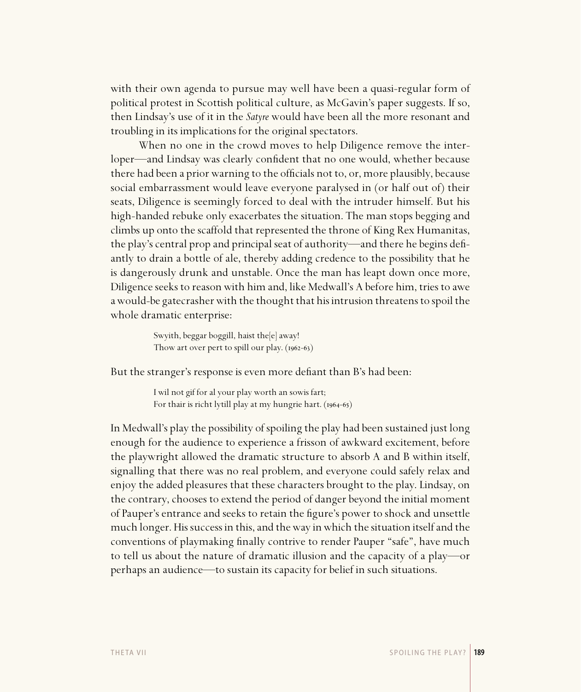with their own agenda to pursue may well have been a quasi-regular form of political protest in Scottish political culture, as McGavin's paper suggests. If so, then Lindsay's use of it in the *Satyre* would have been all the more resonant and troubling in its implications for the original spectators.

When no one in the crowd moves to help Diligence remove the interloper—and Lindsay was clearly confident that no one would, whether because there had been a prior warning to the officials not to, or, more plausibly, because social embarrassment would leave everyone paralysed in (or half out of) their seats, Diligence is seemingly forced to deal with the intruder himself. But his high-handed rebuke only exacerbates the situation. The man stops begging and climbs up onto the scaffold that represented the throne of King Rex Humanitas, the play's central prop and principal seat of authority—and there he begins defiantly to drain a bottle of ale, thereby adding credence to the possibility that he is dangerously drunk and unstable. Once the man has leapt down once more, Diligence seeks to reason with him and, like Medwall's A before him, tries to awe a would-be gatecrasher with the thought that his intrusion threatens to spoil the whole dramatic enterprise:

> Swyith, beggar boggill, haist the[e] away! Thow art over pert to spill our play.  $(1962-63)$

But the stranger's response is even more defiant than B's had been:

I wil not gif for al your play worth an sowis fart; For thair is richt lytill play at my hungrie hart.  $(1964-65)$ 

In Medwall's play the possibility of spoiling the play had been sustained just long enough for the audience to experience a frisson of awkward excitement, before the playwright allowed the dramatic structure to absorb A and B within itself, signalling that there was no real problem, and everyone could safely relax and enjoy the added pleasures that these characters brought to the play. Lindsay, on the contrary, chooses to extend the period of danger beyond the initial moment of Pauper's entrance and seeks to retain the figure's power to shock and unsettle much longer. His success in this, and the way in which the situation itself and the conventions of playmaking finally contrive to render Pauper "safe", have much to tell us about the nature of dramatic illusion and the capacity of a play—or perhaps an audience—to sustain its capacity for belief in such situations.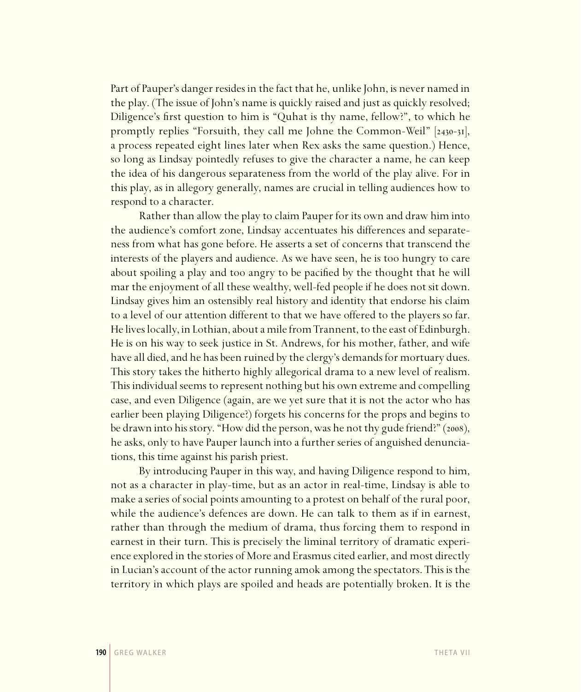Part of Pauper's danger resides in the fact that he, unlike John, is never named in the play. (The issue of John's name is quickly raised and just as quickly resolved; Diligence's first question to him is "Quhat is thy name, fellow?", to which he promptly replies "Forsuith, they call me Johne the Common-Weil"  $|2430-31|$ , a process repeated eight lines later when Rex asks the same question.) Hence, so long as Lindsay pointedly refuses to give the character a name, he can keep the idea of his dangerous separateness from the world of the play alive. For in this play, as in allegory generally, names are crucial in telling audiences how to respond to a character.

Rather than allow the play to claim Pauper for its own and draw him into the audience's comfort zone, Lindsay accentuates his differences and separateness from what has gone before. He asserts a set of concerns that transcend the interests of the players and audience. As we have seen, he is too hungry to care about spoiling a play and too angry to be pacified by the thought that he will mar the enjoyment of all these wealthy, well-fed people if he does not sit down. Lindsay gives him an ostensibly real history and identity that endorse his claim to a level of our attention different to that we have offered to the players so far. He lives locally, in Lothian, about a mile from Trannent, to the east of Edinburgh. He is on his way to seek justice in St. Andrews, for his mother, father, and wife have all died, and he has been ruined by the clergy's demands for mortuary dues. This story takes the hitherto highly allegorical drama to a new level of realism. This individual seems to represent nothing but his own extreme and compelling case, and even Diligence (again, are we yet sure that it is not the actor who has earlier been playing Diligence?) forgets his concerns for the props and begins to be drawn into his story. "How did the person, was he not thy gude friend?" (2008), he asks, only to have Pauper launch into a further series of anguished denunciations, this time against his parish priest.

By introducing Pauper in this way, and having Diligence respond to him, not as a character in play-time, but as an actor in real-time, Lindsay is able to make a series of social points amounting to a protest on behalf of the rural poor, while the audience's defences are down. He can talk to them as if in earnest, rather than through the medium of drama, thus forcing them to respond in earnest in their turn. This is precisely the liminal territory of dramatic experience explored in the stories of More and Erasmus cited earlier, and most directly in Lucian's account of the actor running amok among the spectators. This is the territory in which plays are spoiled and heads are potentially broken. It is the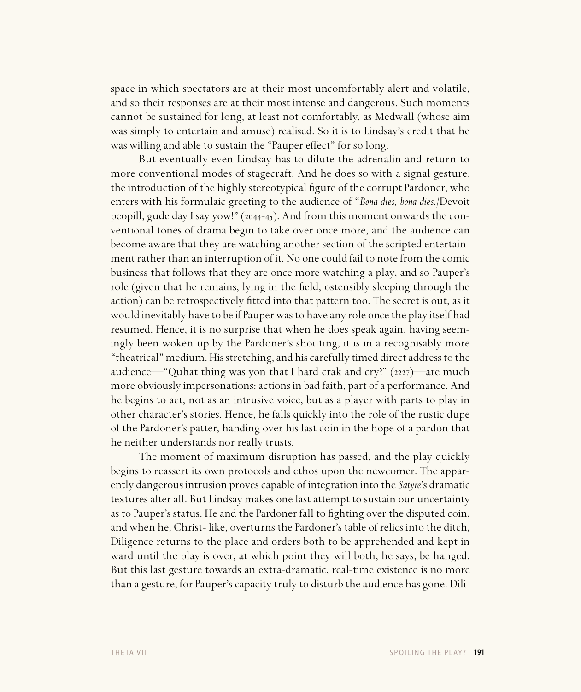space in which spectators are at their most uncomfortably alert and volatile, and so their responses are at their most intense and dangerous. Such moments cannot be sustained for long, at least not comfortably, as Medwall (whose aim was simply to entertain and amuse) realised. So it is to Lindsay's credit that he was willing and able to sustain the "Pauper effect" for so long.

But eventually even Lindsay has to dilute the adrenalin and return to more conventional modes of stagecraft. And he does so with a signal gesture: the introduction of the highly stereotypical figure of the corrupt Pardoner, who enters with his formulaic greeting to the audience of "*Bona dies, bona dies*./Devoit peopill, gude day I say yow!" (2044-45). And from this moment onwards the conventional tones of drama begin to take over once more, and the audience can become aware that they are watching another section of the scripted entertainment rather than an interruption of it. No one could fail to note from the comic business that follows that they are once more watching a play, and so Pauper's role (given that he remains, lying in the field, ostensibly sleeping through the action) can be retrospectively fitted into that pattern too. The secret is out, as it would inevitably have to be if Pauper was to have any role once the play itself had resumed. Hence, it is no surprise that when he does speak again, having seemingly been woken up by the Pardoner's shouting, it is in a recognisably more "theatrical" medium. His stretching, and his carefully timed direct address to the audience—"Quhat thing was yon that I hard crak and cry?"  $(2227)$ —are much more obviously impersonations: actions in bad faith, part of a performance. And he begins to act, not as an intrusive voice, but as a player with parts to play in other character's stories. Hence, he falls quickly into the role of the rustic dupe of the Pardoner's patter, handing over his last coin in the hope of a pardon that he neither understands nor really trusts.

The moment of maximum disruption has passed, and the play quickly begins to reassert its own protocols and ethos upon the newcomer. The apparently dangerous intrusion proves capable of integration into the *Satyre*'s dramatic textures after all. But Lindsay makes one last attempt to sustain our uncertainty as to Pauper's status. He and the Pardoner fall to fighting over the disputed coin, and when he, Christ- like, overturns the Pardoner's table of relics into the ditch, Diligence returns to the place and orders both to be apprehended and kept in ward until the play is over, at which point they will both, he says, be hanged. But this last gesture towards an extra-dramatic, real-time existence is no more than a gesture, for Pauper's capacity truly to disturb the audience has gone. Dili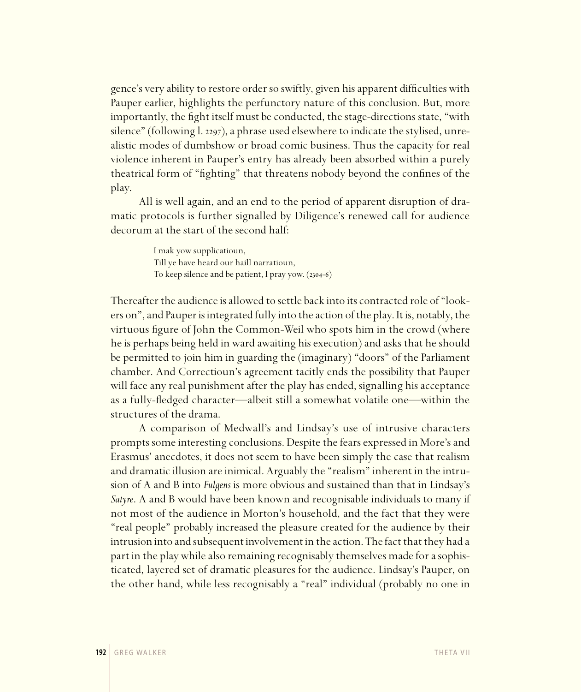gence's very ability to restore order so swiftly, given his apparent difficulties with Pauper earlier, highlights the perfunctory nature of this conclusion. But, more importantly, the fight itself must be conducted, the stage-directions state, "with silence" (following l. 2297), a phrase used elsewhere to indicate the stylised, unrealistic modes of dumbshow or broad comic business. Thus the capacity for real violence inherent in Pauper's entry has already been absorbed within a purely theatrical form of "fighting" that threatens nobody beyond the confines of the play.

All is well again, and an end to the period of apparent disruption of dramatic protocols is further signalled by Diligence's renewed call for audience decorum at the start of the second half:

> I mak yow supplicatioun, Till ye have heard our haill narratioun, To keep silence and be patient, I pray yow.  $(2304-6)$

Thereafter the audience is allowed to settle back into its contracted role of "lookers on", and Pauper is integrated fully into the action of the play. It is, notably, the virtuous figure of John the Common-Weil who spots him in the crowd (where he is perhaps being held in ward awaiting his execution) and asks that he should be permitted to join him in guarding the (imaginary) "doors" of the Parliament chamber. And Correctioun's agreement tacitly ends the possibility that Pauper will face any real punishment after the play has ended, signalling his acceptance as a fully-fledged character—albeit still a somewhat volatile one—within the structures of the drama.

A comparison of Medwall's and Lindsay's use of intrusive characters prompts some interesting conclusions. Despite the fears expressed in More's and Erasmus' anecdotes, it does not seem to have been simply the case that realism and dramatic illusion are inimical. Arguably the "realism" inherent in the intrusion of A and B into *Fulgens* is more obvious and sustained than that in Lindsay's *Satyre*. A and B would have been known and recognisable individuals to many if not most of the audience in Morton's household, and the fact that they were "real people" probably increased the pleasure created for the audience by their intrusion into and subsequent involvement in the action. The fact that they had a part in the play while also remaining recognisably themselves made for a sophisticated, layered set of dramatic pleasures for the audience. Lindsay's Pauper, on the other hand, while less recognisably a "real" individual (probably no one in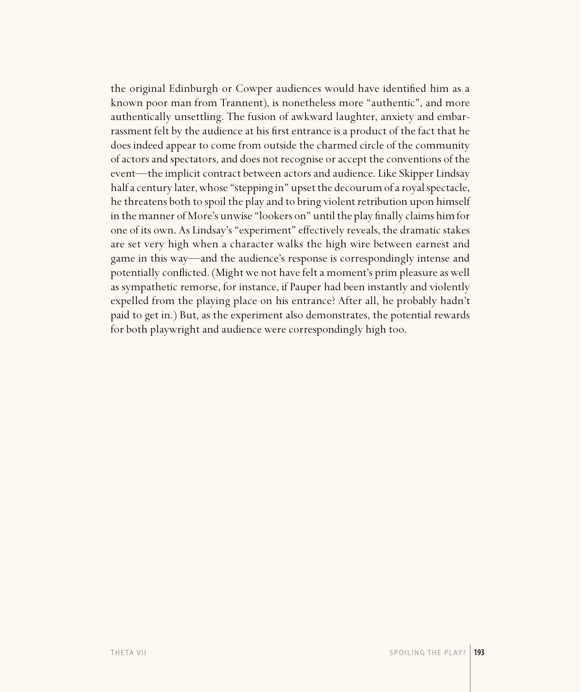the original Edinburgh or Cowper audiences would have identified him as a known poor man from Trannent), is nonetheless more "authentic", and more authentically unsettling. The fusion of awkward laughter, anxiety and embarrassment felt by the audience at his first entrance is a product of the fact that he does indeed appear to come from outside the charmed circle of the community of actors and spectators, and does not recognise or accept the conventions of the event—the implicit contract between actors and audience. Like Skipper Lindsay half a century later, whose "stepping in" upset the decourum of a royal spectacle, he threatens both to spoil the play and to bring violent retribution upon himself in the manner of More's unwise "lookers on" until the play finally claims him for one of its own. As Lindsay's "experiment" effectively reveals, the dramatic stakes are set very high when a character walks the high wire between earnest and game in this way—and the audience's response is correspondingly intense and potentially conflicted. (Might we not have felt a moment's prim pleasure as well as sympathetic remorse, for instance, if Pauper had been instantly and violently expelled from the playing place on his entrance? After all, he probably hadn't paid to get in.) But, as the experiment also demonstrates, the potential rewards for both playwright and audience were correspondingly high too.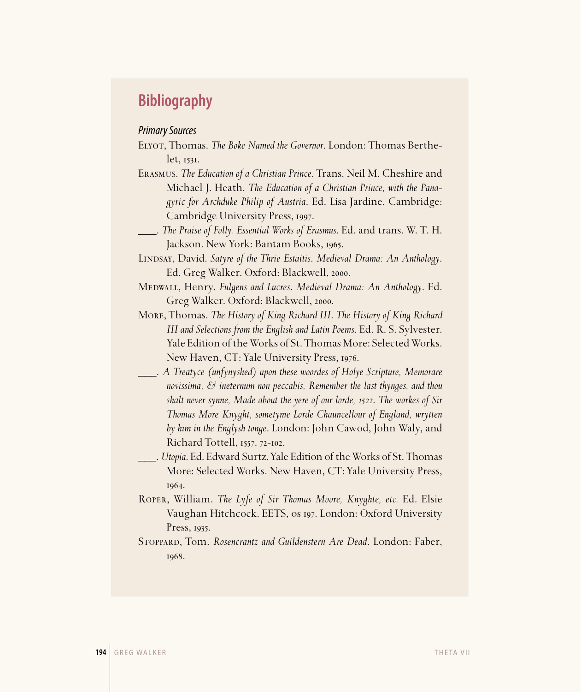# **Bibliography**

## Primary Sources

- Elyot, Thomas. *The Boke Named the Governor*. London: Thomas Berthe $let.$   $1531.$
- Erasmus. *The Education of a Christian Prince*. Trans. Neil M. Cheshire and Michael J. Heath. *The Education of a Christian Prince, with the Panagyric for Archduke Philip of Austria*. Ed. Lisa Jardine. Cambridge: Cambridge University Press, 1997.
- \_\_\_. *The Praise of Folly. Essential Works of Erasmus*. Ed. and trans. W. T. H. Jackson. New York: Bantam Books, 1965.
- Lindsay, David. *Satyre of the Thrie Estaitis*. *Medieval Drama: An Anthology*. Ed. Greg Walker. Oxford: Blackwell, 2000.
- Medwall, Henry. *Fulgens and Lucres*. *Medieval Drama: An Anthology*. Ed. Greg Walker. Oxford: Blackwell, 2000.
- More, Thomas. *The History of King Richard III*. *The History of King Richard III and Selections from the English and Latin Poems*. Ed. R. S. Sylvester. Yale Edition of the Works of St. Thomas More: Selected Works. New Haven, CT: Yale University Press, 1976.
- \_\_\_. *A Treatyce (unfynyshed) upon these woordes of Holye Scripture, Memorare novissima, & ineternum non peccabis, Remember the last thynges, and thou shalt never synne, Made about the yere of our lorde, 1522. The workes of Sir Thomas More Knyght, sometyme Lorde Chauncellour of England, wrytten by him in the Englysh tonge*. London: John Cawod, John Waly, and Richard Tottell, 1557. 72-102.
- \_\_\_. *Utopia*. Ed. Edward Surtz. Yale Edition of the Works of St. Thomas More: Selected Works. New Haven, CT: Yale University Press, 1964.
- Roper, William. *The Lyfe of Sir Thomas Moore, Knyghte, etc.* Ed. Elsie Vaughan Hitchcock. EETS, os 197. London: Oxford University Press, 1935.
- Stoppard, Tom. *Rosencrantz and Guildenstern Are Dead*. London: Faber, 1968.